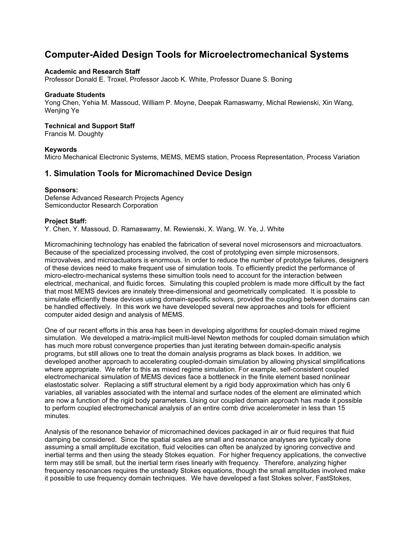# Computer-Aided Design Tools for Microelectromechanical Systems

#### Academic and Research Staff

Professor Donald E. Troxel, Professor Jacob K. White, Professor Duane S. Boning

#### Graduate Students

Yong Chen, Yehia M. Massoud, William P. Moyne, Deepak Ramaswamy, Michal Rewienski, Xin Wang, Wenjing Ye

#### Technical and Support Staff

Francis M. Doughty

#### Keywords

Micro Mechanical Electronic Systems, MEMS, MEMS station, Process Representation, Process Variation

### 1. Simulation Tools for Micromachined Device Design

#### Sponsors:

Defense Advanced Research Projects Agency Semiconductor Research Corporation

#### Project Staff:

Y. Chen, Y. Massoud, D. Ramaswamy, M. Rewienski, X. Wang, W. Ye, J. White

Micromachining technology has enabled the fabrication of several novel microsensors and microactuators. Because of the specialized processing involved, the cost of prototyping even simple microsensors, microvalves, and microactuators is enormous. In order to reduce the number of prototype failures, designers of these devices need to make frequent use of simulation tools. To efficiently predict the performance of micro-electro-mechanical systems these simultion tools need to account for the interaction between electrical, mechanical, and fluidic forces. Simulating this coupled problem is made more difficult by the fact that most MEMS devices are innately three-dimensional and geometrically complicated. It is possible to simulate efficiently these devices using domain-specific solvers, provided the coupling between domains can be handled effectively. In this work we have developed several new approaches and tools for efficient computer aided design and analysis of MEMS.

One of our recent efforts in this area has been in developing algorithms for coupled-domain mixed regime simulation. We developed a matrix-implicit multi-level Newton methods for coupled domain simulation which has much more robust convergence properties than just iterating between domain-specific analysis programs, but still allows one to treat the domain analysis programs as black boxes. In addition, we developed another approach to accelerating coupled-domain simulation by allowing physical simplifications where appropriate. We refer to this as mixed regime simulation. For example, self-consistent coupled electromechanical simulation of MEMS devices face a bottleneck in the finite element based nonlinear elastostatic solver. Replacing a stiff structural element by a rigid body approximation which has only 6 variables, all variables associated with the internal and surface nodes of the element are eliminated which are now a function of the rigid body parameters. Using our coupled domain approach has made it possible to perform coupled electromechanical analysis of an entire comb drive accelerometer in less than 15 minutes.

Analysis of the resonance behavior of micromachined devices packaged in air or fluid requires that fluid damping be considered. Since the spatial scales are small and resonance analyses are typically done assuming a small amplitude excitation, fluid velocities can often be analyzed by ignoring convective and inertial terms and then using the steady Stokes equation. For higher frequency applications, the convective term may still be small, but the inertial term rises linearly with frequency. Therefore, analyzing higher frequency resonances requires the unsteady Stokes equations, though the small amplitudes involved make it possible to use frequency domain techniques. We have developed a fast Stokes solver, FastStokes,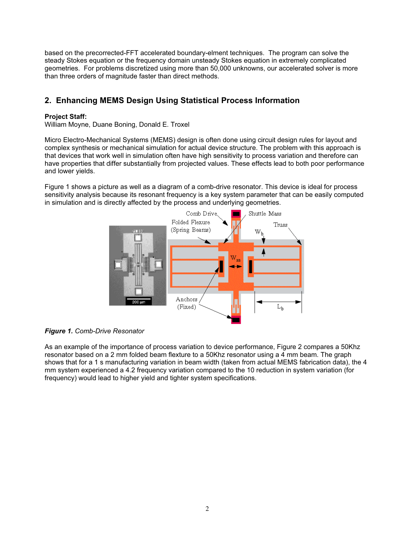based on the precorrected-FFT accelerated boundary-elment techniques. The program can solve the steady Stokes equation or the frequency domain unsteady Stokes equation in extremely complicated geometries. For problems discretized using more than 50,000 unknowns, our accelerated solver is more than three orders of magnitude faster than direct methods.

## 2. Enhancing MEMS Design Using Statistical Process Information

### Project Staff:

William Moyne, Duane Boning, Donald E. Troxel

Micro Electro-Mechanical Systems (MEMS) design is often done using circuit design rules for layout and complex synthesis or mechanical simulation for actual device structure. The problem with this approach is that devices that work well in simulation often have high sensitivity to process variation and therefore can have properties that differ substantially from projected values. These effects lead to both poor performance and lower yields.

Figure 1 shows a picture as well as a diagram of a comb-drive resonator. This device is ideal for process sensitivity analysis because its resonant frequency is a key system parameter that can be easily computed in simulation and is directly affected by the process and underlying geometries.





As an example of the importance of process variation to device performance, Figure 2 compares a 50Khz resonator based on a 2 mm folded beam flexture to a 50Khz resonator using a 4 mm beam. The graph shows that for a 1 s manufacturing variation in beam width (taken from actual MEMS fabrication data), the 4 mm system experienced a 4.2 frequency variation compared to the 10 reduction in system variation (for frequency) would lead to higher yield and tighter system specifications.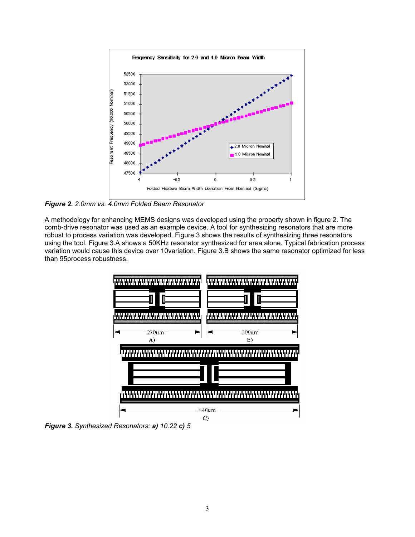

Figure 2. 2.0mm vs. 4.0mm Folded Beam Resonator

A methodology for enhancing MEMS designs was developed using the property shown in figure 2. The comb-drive resonator was used as an example device. A tool for synthesizing resonators that are more robust to process variation was developed. Figure 3 shows the results of synthesizing three resonators using the tool. Figure 3.A shows a 50KHz resonator synthesized for area alone. Typical fabrication process variation would cause this device over 10variation. Figure 3.B shows the same resonator optimized for less than 95process robustness.



Figure 3. Synthesized Resonators: a) 10.22 c) <sup>5</sup>